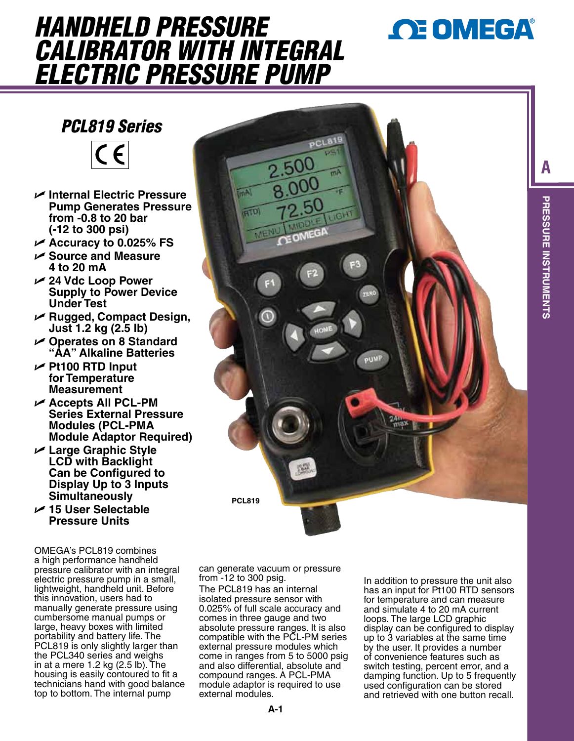# *CE OMEGA®*

**A**

**PRESSURE INSTRUMENTS**

**PRESSURE INSTRUMENTS** 

## *HANDHELD PRESSURE CALIBRATOR WITH INTEGRAL ELECTRIC PRESSURE PUMP*

### *PCL819 Series*



- U **Internal Electric Pressure Pump Generates Pressure from -0.8 to 20 bar (-12 to 300 psi)**
- U **Accuracy to 0.025% FS**
- U **Source and Measure 4 to 20 mA**
- U **24 Vdc Loop Power Supply to Power Device Under Test**
- U **Rugged, Compact Design, Just 1.2 kg (2.5 lb)**
- U **Operates on 8 Standard "AA" Alkaline Batteries**
- U **Pt100 RTD Input for Temperature Measurement**
- U **Accepts All PCL-PM Series External Pressure Modules (PCL-PMA Module Adaptor Required)**
- U **Large Graphic Style LCD with Backlight Can be Configured to Display Up to 3 Inputs Simultaneously**

### U **15 User Selectable Pressure Units**

OMEGA's PCL819 combines a high performance handheld pressure calibrator with an integral electric pressure pump in a small, lightweight, handheld unit. Before this innovation, users had to manually generate pressure using cumbersome manual pumps or large, heavy boxes with limited portability and battery life. The PCL819 is only slightly larger than the PCL340 series and weighs in at a mere 1.2 kg (2.5 lb). The housing is easily contoured to fit a technicians hand with good balance top to bottom. The internal pump



can generate vacuum or pressure from -12 to 300 psig.

The PCL819 has an internal isolated pressure sensor with 0.025% of full scale accuracy and comes in three gauge and two absolute pressure ranges. It is also compatible with the PCL-PM series external pressure modules which come in ranges from 5 to 5000 psig and also differential, absolute and compound ranges. A PCL-PMA module adaptor is required to use external modules.

In addition to pressure the unit also has an input for Pt100 RTD sensors for temperature and can measure and simulate 4 to 20 mA current loops. The large LCD graphic display can be configured to display up to 3 variables at the same time by the user. It provides a number of convenience features such as switch testing, percent error, and a damping function. Up to 5 frequently used configuration can be stored and retrieved with one button recall.